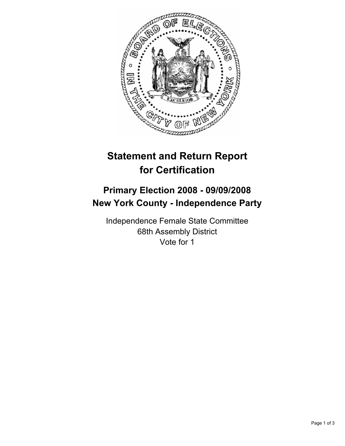

## **Statement and Return Report for Certification**

## **Primary Election 2008 - 09/09/2008 New York County - Independence Party**

Independence Female State Committee 68th Assembly District Vote for 1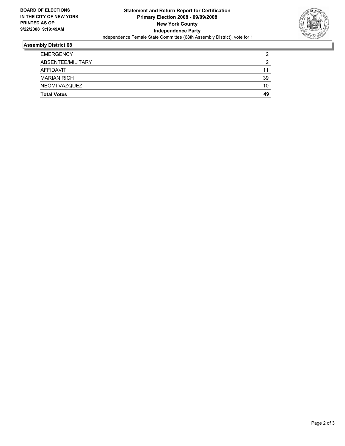

## **Assembly District 68**

| <b>EMERGENCY</b>   | c  |
|--------------------|----|
| ABSENTEE/MILITARY  |    |
| AFFIDAVIT          | 11 |
| <b>MARIAN RICH</b> | 39 |
| NEOMI VAZQUEZ      | 10 |
| <b>Total Votes</b> | 49 |